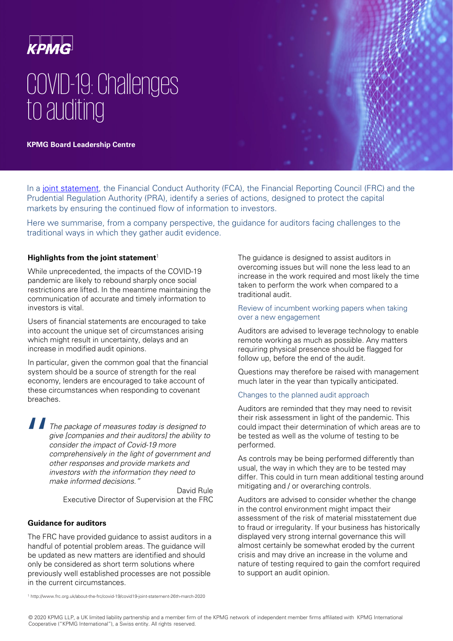

# COVID-19: Challenges to auditing

**KPMG Board Leadership Centre** 

In a [joint statement,](http://www.frc.org.uk/about-the-frc/covid-19/covid19-joint-statement-26th-march-2020) the Financial Conduct Authority (FCA), the Financial Reporting Council (FRC) and the Prudential Regulation Authority (PRA), identify a series of actions, designed to protect the capital markets by ensuring the continued flow of information to investors.

Here we summarise, from a company perspective, the guidance for auditors facing challenges to the traditional ways in which they gather audit evidence.

# **Highlights from the joint statement**<sup>1</sup>

While unprecedented, the impacts of the COVID-19 pandemic are likely to rebound sharply once social restrictions are lifted. In the meantime maintaining the communication of accurate and timely information to investors is vital.

Users of financial statements are encouraged to take into account the unique set of circumstances arising which might result in uncertainty, delays and an increase in modified audit opinions.

In particular, given the common goal that the financial system should be a source of strength for the real economy, lenders are encouraged to take account of these circumstances when responding to covenant breaches.

 $\begin{array}{c} \n\blacksquare_{7} \\
\blacksquare_{8} \\
\blacksquare_{9} \\
\blacksquare_{10} \\
\blacksquare_{11} \\
\blacksquare_{12} \\
\blacksquare_{13} \\
\blacksquare_{14} \\
\blacksquare_{15} \\
\blacksquare_{16} \\
\blacksquare_{17} \\
\blacksquare_{18} \\
\blacksquare_{17} \\
\blacksquare_{18} \\
\blacksquare_{17} \\
\blacksquare_{18} \\
\blacksquare_{17} \\
\blacksquare_{18} \\
\blacksquare_{18} \\
\blacksquare_{18} \\
\blacksquare_{19} \\
\blacksquare_{10} \\
\blacksquare_{17} \\
\blacksquare_{18$ The package of measures today is designed to give [companies and their auditors] the ability to consider the impact of Covid-19 more comprehensively in the light of government and other responses and provide markets and investors with the information they need to make informed decisions."

> David Rule Executive Director of Supervision at the FRC

# **Guidance for auditors**

The FRC have provided guidance to assist auditors in a handful of potential problem areas. The guidance will be updated as new matters are identified and should only be considered as short term solutions where previously well established processes are not possible in the current circumstances.

The guidance is designed to assist auditors in overcoming issues but will none the less lead to an increase in the work required and most likely the time taken to perform the work when compared to a traditional audit.

# Review of incumbent working papers when taking over a new engagement

Auditors are advised to leverage technology to enable remote working as much as possible. Any matters requiring physical presence should be flagged for follow up, before the end of the audit.

Questions may therefore be raised with management much later in the year than typically anticipated.

# Changes to the planned audit approach

Auditors are reminded that they may need to revisit their risk assessment in light of the pandemic. This could impact their determination of which areas are to be tested as well as the volume of testing to be performed.

As controls may be being performed differently than usual, the way in which they are to be tested may differ. This could in turn mean additional testing around mitigating and / or overarching controls.

Auditors are advised to consider whether the change in the control environment might impact their assessment of the risk of material misstatement due to fraud or irregularity. If your business has historically displayed very strong internal governance this will almost certainly be somewhat eroded by the current crisis and may drive an increase in the volume and nature of testing required to gain the comfort required to support an audit opinion.

<sup>1</sup> http://www.frc.org.uk/about-the-frc/covid-19/covid19-joint-statement-26th-march-2020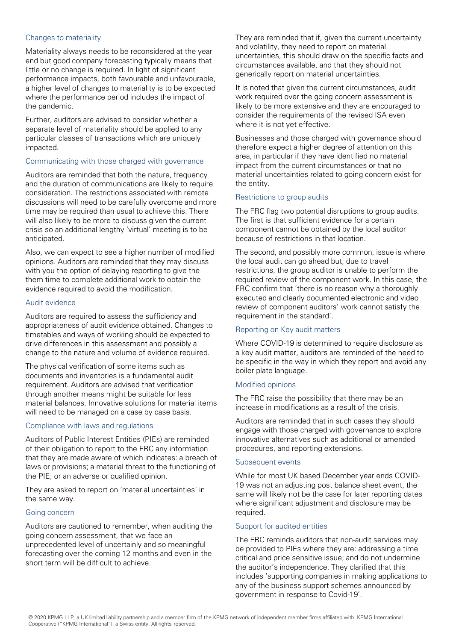# Changes to materiality

Materiality always needs to be reconsidered at the year end but good company forecasting typically means that little or no change is required. In light of significant performance impacts, both favourable and unfavourable, a higher level of changes to materiality is to be expected where the performance period includes the impact of the pandemic.

Further, auditors are advised to consider whether a separate level of materiality should be applied to any particular classes of transactions which are uniquely impacted.

# Communicating with those charged with governance

Auditors are reminded that both the nature, frequency and the duration of communications are likely to require consideration. The restrictions associated with remote discussions will need to be carefully overcome and more time may be required than usual to achieve this. There will also likely to be more to discuss given the current crisis so an additional lengthy 'virtual' meeting is to be anticipated.

Also, we can expect to see a higher number of modified opinions. Auditors are reminded that they may discuss with you the option of delaying reporting to give the them time to complete additional work to obtain the evidence required to avoid the modification.

# Audit evidence

Auditors are required to assess the sufficiency and appropriateness of audit evidence obtained. Changes to timetables and ways of working should be expected to drive differences in this assessment and possibly a change to the nature and volume of evidence required.

The physical verification of some items such as documents and inventories is a fundamental audit requirement. Auditors are advised that verification through another means might be suitable for less material balances. Innovative solutions for material items will need to be managed on a case by case basis.

# Compliance with laws and regulations

Auditors of Public Interest Entities (PIEs) are reminded of their obligation to report to the FRC any information that they are made aware of which indicates: a breach of laws or provisions; a material threat to the functioning of the PIE; or an adverse or qualified opinion.

They are asked to report on 'material uncertainties' in the same way.

#### Going concern

Auditors are cautioned to remember, when auditing the going concern assessment, that we face an unprecedented level of uncertainly and so meaningful forecasting over the coming 12 months and even in the short term will be difficult to achieve.

They are reminded that if, given the current uncertainty and volatility, they need to report on material uncertainties, this should draw on the specific facts and circumstances available, and that they should not generically report on material uncertainties.

It is noted that given the current circumstances, audit work required over the going concern assessment is likely to be more extensive and they are encouraged to consider the requirements of the revised ISA even where it is not yet effective.

Businesses and those charged with governance should therefore expect a higher degree of attention on this area, in particular if they have identified no material impact from the current circumstances or that no material uncertainties related to going concern exist for the entity.

# Restrictions to group audits

The FRC flag two potential disruptions to group audits. The first is that sufficient evidence for a certain component cannot be obtained by the local auditor because of restrictions in that location.

The second, and possibly more common, issue is where the local audit can go ahead but, due to travel restrictions, the group auditor is unable to perform the required review of the component work. In this case, the FRC confirm that 'there is no reason why a thoroughly executed and clearly documented electronic and video review of component auditors' work cannot satisfy the requirement in the standard'.

# Reporting on Key audit matters

Where COVID-19 is determined to require disclosure as a key audit matter, auditors are reminded of the need to be specific in the way in which they report and avoid any boiler plate language.

# Modified opinions

The FRC raise the possibility that there may be an increase in modifications as a result of the crisis.

Auditors are reminded that in such cases they should engage with those charged with governance to explore innovative alternatives such as additional or amended procedures, and reporting extensions.

# Subsequent events

While for most UK based December year ends COVID-19 was not an adjusting post balance sheet event, the same will likely not be the case for later reporting dates where significant adjustment and disclosure may be required.

# Support for audited entities

The FRC reminds auditors that non-audit services may be provided to PIEs where they are: addressing a time critical and price sensitive issue; and do not undermine the auditor's independence. They clarified that this includes 'supporting companies in making applications to any of the business support schemes announced by government in response to Covid-19'.